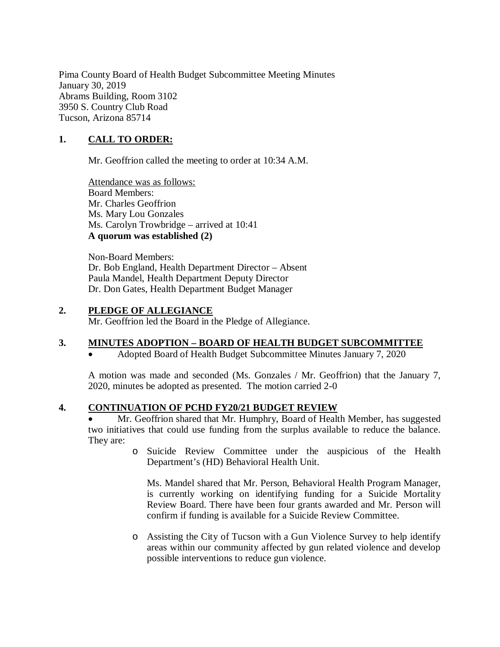Pima County Board of Health Budget Subcommittee Meeting Minutes January 30, 2019 Abrams Building, Room 3102 3950 S. Country Club Road Tucson, Arizona 85714

### **1. CALL TO ORDER:**

Mr. Geoffrion called the meeting to order at 10:34 A.M.

Attendance was as follows: Board Members: Mr. Charles Geoffrion Ms. Mary Lou Gonzales Ms. Carolyn Trowbridge – arrived at 10:41 **A quorum was established (2)**

Non-Board Members: Dr. Bob England, Health Department Director – Absent Paula Mandel, Health Department Deputy Director Dr. Don Gates, Health Department Budget Manager

### **2. PLEDGE OF ALLEGIANCE**

Mr. Geoffrion led the Board in the Pledge of Allegiance.

#### **3. MINUTES ADOPTION – BOARD OF HEALTH BUDGET SUBCOMMITTEE**

Adopted Board of Health Budget Subcommittee Minutes January 7, 2020

A motion was made and seconded (Ms. Gonzales / Mr. Geoffrion) that the January 7, 2020, minutes be adopted as presented. The motion carried 2-0

### **4. CONTINUATION OF PCHD FY20/21 BUDGET REVIEW**

 Mr. Geoffrion shared that Mr. Humphry, Board of Health Member, has suggested two initiatives that could use funding from the surplus available to reduce the balance. They are:

> o Suicide Review Committee under the auspicious of the Health Department's (HD) Behavioral Health Unit.

Ms. Mandel shared that Mr. Person, Behavioral Health Program Manager, is currently working on identifying funding for a Suicide Mortality Review Board. There have been four grants awarded and Mr. Person will confirm if funding is available for a Suicide Review Committee.

o Assisting the City of Tucson with a Gun Violence Survey to help identify areas within our community affected by gun related violence and develop possible interventions to reduce gun violence.